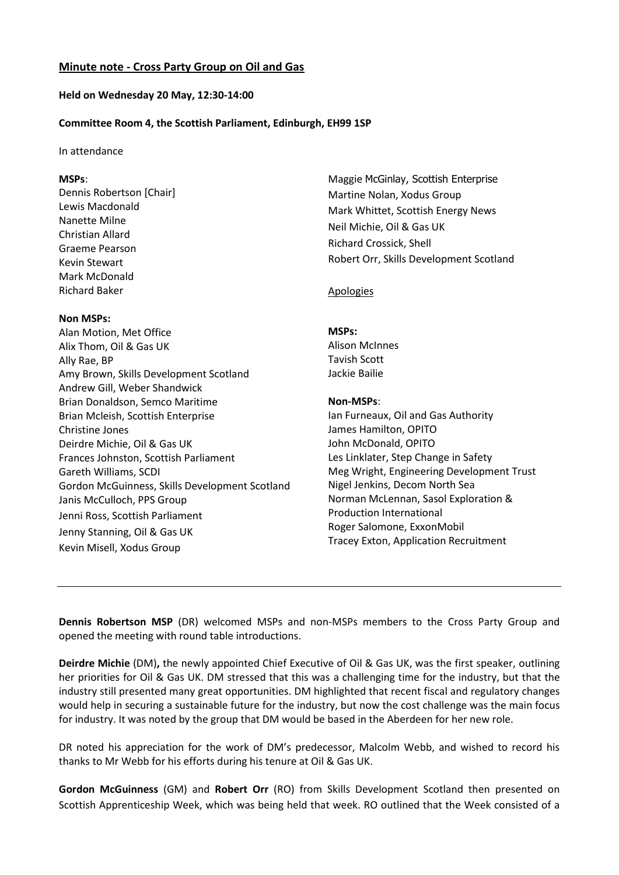# **Held on Wednesday 20 May, 12:30-14:00**

## **Committee Room 4, the Scottish Parliament, Edinburgh, EH99 1SP**

#### In attendance

## **MSPs**:

Dennis Robertson [Chair] Lewis Macdonald Nanette Milne Christian Allard Graeme Pearson Kevin Stewart Mark McDonald Richard Baker

### **Non MSPs:**

Alan Motion, Met Office Alix Thom, Oil & Gas UK Ally Rae, BP Amy Brown, Skills Development Scotland Andrew Gill, Weber Shandwick Brian Donaldson, Semco Maritime Brian Mcleish, Scottish Enterprise Christine Jones Deirdre Michie, Oil & Gas UK Frances Johnston, Scottish Parliament Gareth Williams, SCDI Gordon McGuinness, Skills Development Scotland Janis McCulloch, PPS Group Jenni Ross, Scottish Parliament Jenny Stanning, Oil & Gas UK Kevin Misell, Xodus Group

Maggie McGinlay, Scottish Enterprise Martine Nolan, Xodus Group Mark Whittet, Scottish Energy News Neil Michie, Oil & Gas UK Richard Crossick, Shell Robert Orr, Skills Development Scotland

### Apologies

#### **MSPs:**

Alison McInnes Tavish Scott Jackie Bailie

### **Non-MSPs**:

Ian Furneaux, Oil and Gas Authority James Hamilton, OPITO John McDonald, OPITO Les Linklater, Step Change in Safety Meg Wright, Engineering Development Trust Nigel Jenkins, Decom North Sea Norman McLennan, Sasol Exploration & Production International Roger Salomone, ExxonMobil Tracey Exton, Application Recruitment

**Dennis Robertson MSP** (DR) welcomed MSPs and non-MSPs members to the Cross Party Group and opened the meeting with round table introductions.

**Deirdre Michie** (DM)**,** the newly appointed Chief Executive of Oil & Gas UK, was the first speaker, outlining her priorities for Oil & Gas UK. DM stressed that this was a challenging time for the industry, but that the industry still presented many great opportunities. DM highlighted that recent fiscal and regulatory changes would help in securing a sustainable future for the industry, but now the cost challenge was the main focus for industry. It was noted by the group that DM would be based in the Aberdeen for her new role.

DR noted his appreciation for the work of DM's predecessor, Malcolm Webb, and wished to record his thanks to Mr Webb for his efforts during his tenure at Oil & Gas UK.

**Gordon McGuinness** (GM) and **Robert Orr** (RO) from Skills Development Scotland then presented on Scottish Apprenticeship Week, which was being held that week. RO outlined that the Week consisted of a